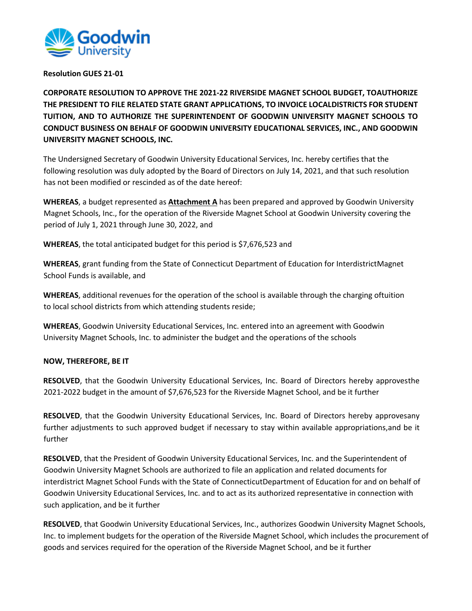

## **Resolution GUES 21-01**

**CORPORATE RESOLUTION TO APPROVE THE 2021-22 RIVERSIDE MAGNET SCHOOL BUDGET, TOAUTHORIZE THE PRESIDENT TO FILE RELATED STATE GRANT APPLICATIONS, TO INVOICE LOCALDISTRICTS FOR STUDENT TUITION, AND TO AUTHORIZE THE SUPERINTENDENT OF GOODWIN UNIVERSITY MAGNET SCHOOLS TO CONDUCT BUSINESS ON BEHALF OF GOODWIN UNIVERSITY EDUCATIONAL SERVICES, INC., AND GOODWIN UNIVERSITY MAGNET SCHOOLS, INC.**

The Undersigned Secretary of Goodwin University Educational Services, Inc. hereby certifies that the following resolution was duly adopted by the Board of Directors on July 14, 2021, and that such resolution has not been modified or rescinded as of the date hereof:

**WHEREAS**, a budget represented as **Attachment A** has been prepared and approved by Goodwin University Magnet Schools, Inc., for the operation of the Riverside Magnet School at Goodwin University covering the period of July 1, 2021 through June 30, 2022, and

**WHEREAS**, the total anticipated budget for this period is \$7,676,523 and

**WHEREAS**, grant funding from the State of Connecticut Department of Education for InterdistrictMagnet School Funds is available, and

**WHEREAS**, additional revenues for the operation of the school is available through the charging oftuition to local school districts from which attending students reside;

**WHEREAS**, Goodwin University Educational Services, Inc. entered into an agreement with Goodwin University Magnet Schools, Inc. to administer the budget and the operations of the schools

## **NOW, THEREFORE, BE IT**

**RESOLVED**, that the Goodwin University Educational Services, Inc. Board of Directors hereby approvesthe 2021-2022 budget in the amount of \$7,676,523 for the Riverside Magnet School, and be it further

**RESOLVED**, that the Goodwin University Educational Services, Inc. Board of Directors hereby approvesany further adjustments to such approved budget if necessary to stay within available appropriations,and be it further

**RESOLVED**, that the President of Goodwin University Educational Services, Inc. and the Superintendent of Goodwin University Magnet Schools are authorized to file an application and related documents for interdistrict Magnet School Funds with the State of ConnecticutDepartment of Education for and on behalf of Goodwin University Educational Services, Inc. and to act as its authorized representative in connection with such application, and be it further

**RESOLVED**, that Goodwin University Educational Services, Inc., authorizes Goodwin University Magnet Schools, Inc. to implement budgets for the operation of the Riverside Magnet School, which includes the procurement of goods and services required for the operation of the Riverside Magnet School, and be it further